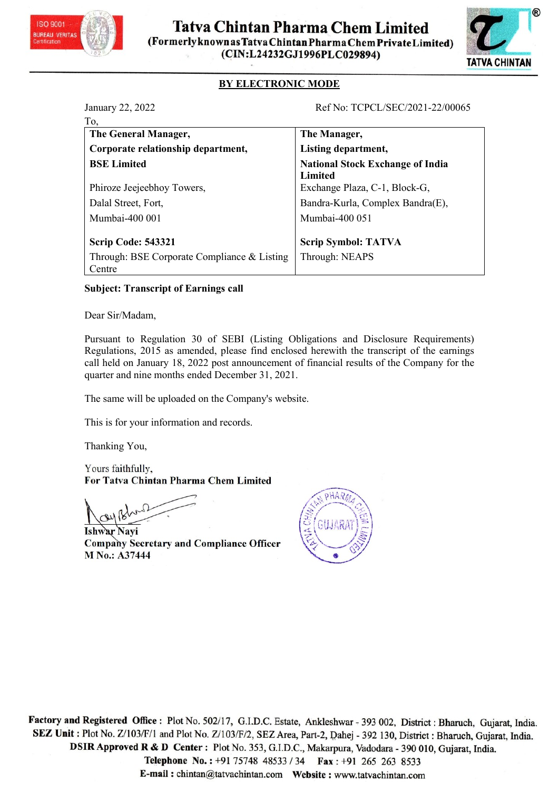



|                                                                                                                                                                                                                                                                                                                                      | <b>Tatva Chintan Pharma Chem Limited</b><br>(Formerlyknown as Tatva Chintan Pharma Chem Private Limited)<br>(CIN:L24232GJ1996PLC029894) | ®<br>TATVA CHINTAN |
|--------------------------------------------------------------------------------------------------------------------------------------------------------------------------------------------------------------------------------------------------------------------------------------------------------------------------------------|-----------------------------------------------------------------------------------------------------------------------------------------|--------------------|
| <b>BY ELECTRONIC MODE</b>                                                                                                                                                                                                                                                                                                            |                                                                                                                                         |                    |
| January 22, 2022<br>To,                                                                                                                                                                                                                                                                                                              | Ref No: TCPCL/SEC/2021-22/00065                                                                                                         |                    |
| The General Manager,                                                                                                                                                                                                                                                                                                                 | The Manager,                                                                                                                            |                    |
| Corporate relationship department,                                                                                                                                                                                                                                                                                                   | Listing department,                                                                                                                     |                    |
| <b>BSE</b> Limited                                                                                                                                                                                                                                                                                                                   | <b>National Stock Exchange of India</b>                                                                                                 |                    |
| Phiroze Jeejeebhoy Towers,                                                                                                                                                                                                                                                                                                           | Limited<br>Exchange Plaza, C-1, Block-G,                                                                                                |                    |
| Dalal Street, Fort,                                                                                                                                                                                                                                                                                                                  | Bandra-Kurla, Complex Bandra(E),                                                                                                        |                    |
| Mumbai-400 001                                                                                                                                                                                                                                                                                                                       | Mumbai-400 051                                                                                                                          |                    |
| <b>Scrip Code: 543321</b>                                                                                                                                                                                                                                                                                                            | <b>Scrip Symbol: TATVA</b>                                                                                                              |                    |
| Through: BSE Corporate Compliance & Listing<br>Centre                                                                                                                                                                                                                                                                                | Through: NEAPS                                                                                                                          |                    |
| <b>Subject: Transcript of Earnings call</b>                                                                                                                                                                                                                                                                                          |                                                                                                                                         |                    |
| Dear Sir/Madam,                                                                                                                                                                                                                                                                                                                      |                                                                                                                                         |                    |
| Pursuant to Regulation 30 of SEBI (Listing Obligations and Disclosure Requirements)<br>Regulations, 2015 as amended, please find enclosed herewith the transcript of the earnings<br>call held on January 18, 2022 post announcement of financial results of the Company for the<br>quarter and nine months ended December 31, 2021. |                                                                                                                                         |                    |
| The same will be uploaded on the Company's website.                                                                                                                                                                                                                                                                                  |                                                                                                                                         |                    |
| This is for your information and records.                                                                                                                                                                                                                                                                                            |                                                                                                                                         |                    |
| Thanking You,                                                                                                                                                                                                                                                                                                                        |                                                                                                                                         |                    |
| Yours faithfully,<br>For Tatva Chintan Pharma Chem Limited                                                                                                                                                                                                                                                                           |                                                                                                                                         |                    |
|                                                                                                                                                                                                                                                                                                                                      |                                                                                                                                         |                    |

Ishwar Navi **Company Secretary and Compliance Officer** M No.: A37444



Factory and Registered Office: Plot No. 502/17, G.I.D.C. Estate, Ankleshwar - 393 002, District: Bharuch, Gujarat, India. SEZ Unit : Plot No. Z/103/F/1 and Plot No. Z/103/F/2, SEZ Area, Part-2, Dahej - 392 130, District : Bharuch, Gujarat, India. DSIR Approved R & D Center: Plot No. 353, G.I.D.C., Makarpura, Vadodara - 390 010, Gujarat, India.

Telephone No.: +91 75748 48533 / 34 Fax: +91 265 263 8533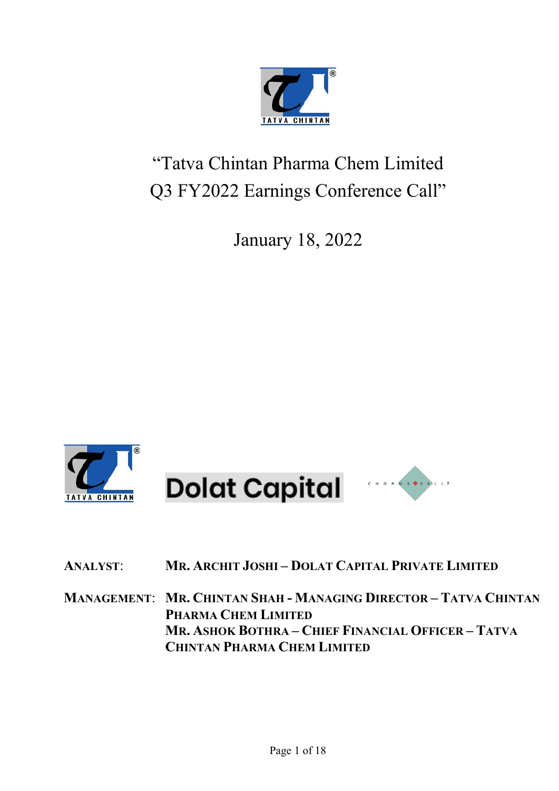

# "Tatva Chintan Pharma Chem Limited Q3 FY2022 Earnings Conference Call"

January 18, 2022



# ANALYST: MR. ARCHIT JOSHI – DOLAT CAPITAL PRIVATE LIMITED

MANAGEMENT: MR. CHINTAN SHAH - MANAGING DIRECTOR – TATVA CHINTAN PHARMA CHEM LIMITED MR. ASHOK BOTHRA – CHIEF FINANCIAL OFFICER – TATVA CHINTAN PHARMA CHEM LIMITED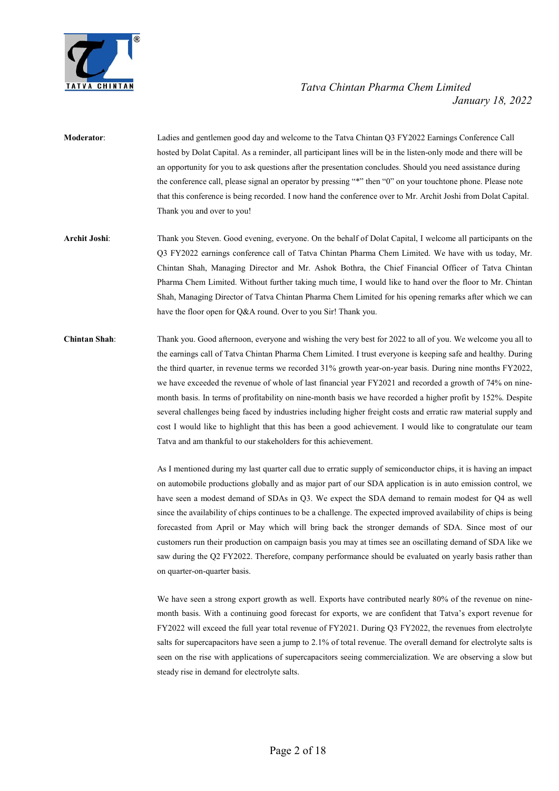

- Moderator: Ladies and gentlemen good day and welcome to the Tatva Chintan Q3 FY2022 Earnings Conference Call hosted by Dolat Capital. As a reminder, all participant lines will be in the listen-only mode and there will be an opportunity for you to ask questions after the presentation concludes. Should you need assistance during the conference call, please signal an operator by pressing "\*" then "0" on your touchtone phone. Please note that this conference is being recorded. I now hand the conference over to Mr. Archit Joshi from Dolat Capital. Thank you and over to you!
- Archit Joshi: Thank you Steven. Good evening, everyone. On the behalf of Dolat Capital, I welcome all participants on the Q3 FY2022 earnings conference call of Tatva Chintan Pharma Chem Limited. We have with us today, Mr. Chintan Shah, Managing Director and Mr. Ashok Bothra, the Chief Financial Officer of Tatva Chintan Pharma Chem Limited. Without further taking much time, I would like to hand over the floor to Mr. Chintan Shah, Managing Director of Tatva Chintan Pharma Chem Limited for his opening remarks after which we can have the floor open for Q&A round. Over to you Sir! Thank you.
- Chintan Shah: Thank you. Good afternoon, everyone and wishing the very best for 2022 to all of you. We welcome you all to the earnings call of Tatva Chintan Pharma Chem Limited. I trust everyone is keeping safe and healthy. During the third quarter, in revenue terms we recorded 31% growth year-on-year basis. During nine months FY2022, we have exceeded the revenue of whole of last financial year FY2021 and recorded a growth of 74% on ninemonth basis. In terms of profitability on nine-month basis we have recorded a higher profit by 152%. Despite several challenges being faced by industries including higher freight costs and erratic raw material supply and cost I would like to highlight that this has been a good achievement. I would like to congratulate our team Tatva and am thankful to our stakeholders for this achievement.

 As I mentioned during my last quarter call due to erratic supply of semiconductor chips, it is having an impact on automobile productions globally and as major part of our SDA application is in auto emission control, we have seen a modest demand of SDAs in Q3. We expect the SDA demand to remain modest for Q4 as well since the availability of chips continues to be a challenge. The expected improved availability of chips is being forecasted from April or May which will bring back the stronger demands of SDA. Since most of our customers run their production on campaign basis you may at times see an oscillating demand of SDA like we saw during the Q2 FY2022. Therefore, company performance should be evaluated on yearly basis rather than on quarter-on-quarter basis.

We have seen a strong export growth as well. Exports have contributed nearly 80% of the revenue on ninemonth basis. With a continuing good forecast for exports, we are confident that Tatva's export revenue for FY2022 will exceed the full year total revenue of FY2021. During Q3 FY2022, the revenues from electrolyte salts for supercapacitors have seen a jump to 2.1% of total revenue. The overall demand for electrolyte salts is seen on the rise with applications of supercapacitors seeing commercialization. We are observing a slow but steady rise in demand for electrolyte salts.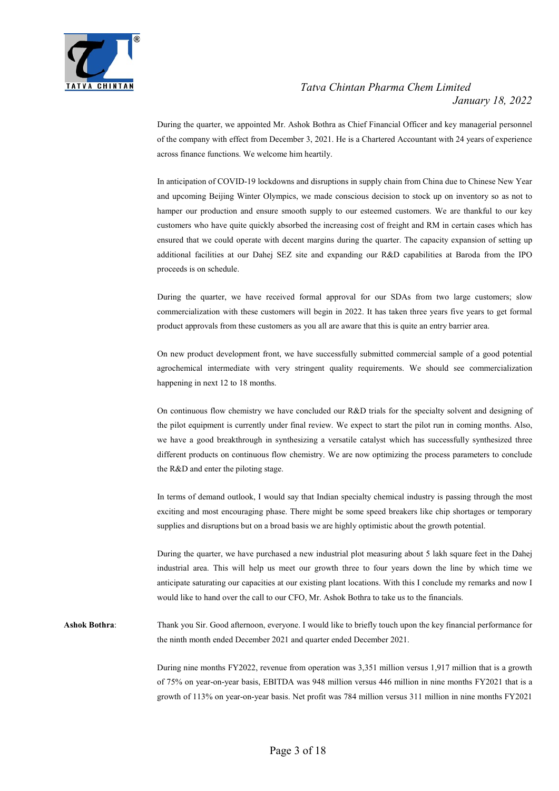

 During the quarter, we appointed Mr. Ashok Bothra as Chief Financial Officer and key managerial personnel of the company with effect from December 3, 2021. He is a Chartered Accountant with 24 years of experience across finance functions. We welcome him heartily.

 In anticipation of COVID-19 lockdowns and disruptions in supply chain from China due to Chinese New Year and upcoming Beijing Winter Olympics, we made conscious decision to stock up on inventory so as not to hamper our production and ensure smooth supply to our esteemed customers. We are thankful to our key customers who have quite quickly absorbed the increasing cost of freight and RM in certain cases which has ensured that we could operate with decent margins during the quarter. The capacity expansion of setting up additional facilities at our Dahej SEZ site and expanding our R&D capabilities at Baroda from the IPO proceeds is on schedule.

 During the quarter, we have received formal approval for our SDAs from two large customers; slow commercialization with these customers will begin in 2022. It has taken three years five years to get formal product approvals from these customers as you all are aware that this is quite an entry barrier area.

 On new product development front, we have successfully submitted commercial sample of a good potential agrochemical intermediate with very stringent quality requirements. We should see commercialization happening in next 12 to 18 months.

 On continuous flow chemistry we have concluded our R&D trials for the specialty solvent and designing of the pilot equipment is currently under final review. We expect to start the pilot run in coming months. Also, we have a good breakthrough in synthesizing a versatile catalyst which has successfully synthesized three different products on continuous flow chemistry. We are now optimizing the process parameters to conclude the R&D and enter the piloting stage.

 In terms of demand outlook, I would say that Indian specialty chemical industry is passing through the most exciting and most encouraging phase. There might be some speed breakers like chip shortages or temporary supplies and disruptions but on a broad basis we are highly optimistic about the growth potential.

 During the quarter, we have purchased a new industrial plot measuring about 5 lakh square feet in the Dahej industrial area. This will help us meet our growth three to four years down the line by which time we anticipate saturating our capacities at our existing plant locations. With this I conclude my remarks and now I would like to hand over the call to our CFO, Mr. Ashok Bothra to take us to the financials.

Ashok Bothra: Thank you Sir. Good afternoon, everyone. I would like to briefly touch upon the key financial performance for the ninth month ended December 2021 and quarter ended December 2021.

> During nine months FY2022, revenue from operation was 3,351 million versus 1,917 million that is a growth of 75% on year-on-year basis, EBITDA was 948 million versus 446 million in nine months FY2021 that is a growth of 113% on year-on-year basis. Net profit was 784 million versus 311 million in nine months FY2021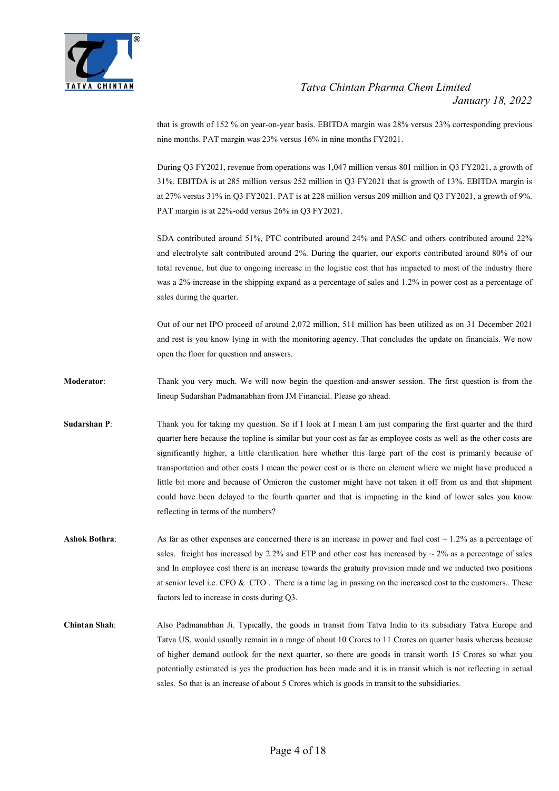

that is growth of 152 % on year-on-year basis. EBITDA margin was 28% versus 23% corresponding previous nine months. PAT margin was 23% versus 16% in nine months FY2021.

 During Q3 FY2021, revenue from operations was 1,047 million versus 801 million in Q3 FY2021, a growth of 31%. EBITDA is at 285 million versus 252 million in Q3 FY2021 that is growth of 13%. EBITDA margin is at 27% versus 31% in Q3 FY2021. PAT is at 228 million versus 209 million and Q3 FY2021, a growth of 9%. PAT margin is at 22%-odd versus 26% in Q3 FY2021.

 SDA contributed around 51%, PTC contributed around 24% and PASC and others contributed around 22% and electrolyte salt contributed around 2%. During the quarter, our exports contributed around 80% of our total revenue, but due to ongoing increase in the logistic cost that has impacted to most of the industry there was a 2% increase in the shipping expand as a percentage of sales and 1.2% in power cost as a percentage of sales during the quarter.

 Out of our net IPO proceed of around 2,072 million, 511 million has been utilized as on 31 December 2021 and rest is you know lying in with the monitoring agency. That concludes the update on financials. We now open the floor for question and answers.

Moderator: Thank you very much. We will now begin the question-and-answer session. The first question is from the lineup Sudarshan Padmanabhan from JM Financial. Please go ahead.

Sudarshan P: Thank you for taking my question. So if I look at I mean I am just comparing the first quarter and the third quarter here because the topline is similar but your cost as far as employee costs as well as the other costs are significantly higher, a little clarification here whether this large part of the cost is primarily because of transportation and other costs I mean the power cost or is there an element where we might have produced a little bit more and because of Omicron the customer might have not taken it off from us and that shipment could have been delayed to the fourth quarter and that is impacting in the kind of lower sales you know reflecting in terms of the numbers?

Ashok Bothra: As far as other expenses are concerned there is an increase in power and fuel cost ~ 1.2% as a percentage of sales. freight has increased by 2.2% and ETP and other cost has increased by  $\sim$  2% as a percentage of sales and In employee cost there is an increase towards the gratuity provision made and we inducted two positions at senior level i.e. CFO & CTO . There is a time lag in passing on the increased cost to the customers.. These factors led to increase in costs during Q3.

Chintan Shah: Also Padmanabhan Ji. Typically, the goods in transit from Tatva India to its subsidiary Tatva Europe and Tatva US, would usually remain in a range of about 10 Crores to 11 Crores on quarter basis whereas because of higher demand outlook for the next quarter, so there are goods in transit worth 15 Crores so what you potentially estimated is yes the production has been made and it is in transit which is not reflecting in actual sales. So that is an increase of about 5 Crores which is goods in transit to the subsidiaries.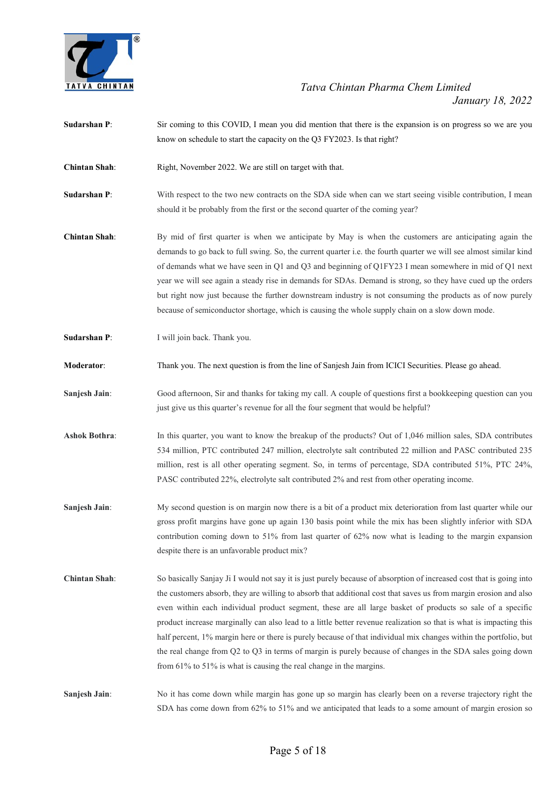

- Sudarshan P: Sir coming to this COVID, I mean you did mention that there is the expansion is on progress so we are you know on schedule to start the capacity on the Q3 FY2023. Is that right?
- Chintan Shah: Right, November 2022. We are still on target with that.
- Sudarshan P: With respect to the two new contracts on the SDA side when can we start seeing visible contribution, I mean should it be probably from the first or the second quarter of the coming year?
- Chintan Shah: By mid of first quarter is when we anticipate by May is when the customers are anticipating again the demands to go back to full swing. So, the current quarter i.e. the fourth quarter we will see almost similar kind of demands what we have seen in Q1 and Q3 and beginning of Q1FY23 I mean somewhere in mid of Q1 next year we will see again a steady rise in demands for SDAs. Demand is strong, so they have cued up the orders but right now just because the further downstream industry is not consuming the products as of now purely because of semiconductor shortage, which is causing the whole supply chain on a slow down mode.
- Sudarshan P: I will join back. Thank you.
- Moderator: Thank you. The next question is from the line of Sanjesh Jain from ICICI Securities. Please go ahead.
- Sanjesh Jain: Good afternoon, Sir and thanks for taking my call. A couple of questions first a bookkeeping question can you just give us this quarter's revenue for all the four segment that would be helpful?
- Ashok Bothra: In this quarter, you want to know the breakup of the products? Out of 1,046 million sales, SDA contributes 534 million, PTC contributed 247 million, electrolyte salt contributed 22 million and PASC contributed 235 million, rest is all other operating segment. So, in terms of percentage, SDA contributed 51%, PTC 24%, PASC contributed 22%, electrolyte salt contributed 2% and rest from other operating income.
- Sanjesh Jain: My second question is on margin now there is a bit of a product mix deterioration from last quarter while our gross profit margins have gone up again 130 basis point while the mix has been slightly inferior with SDA contribution coming down to 51% from last quarter of 62% now what is leading to the margin expansion despite there is an unfavorable product mix?
- Chintan Shah: So basically Sanjay Ji I would not say it is just purely because of absorption of increased cost that is going into the customers absorb, they are willing to absorb that additional cost that saves us from margin erosion and also even within each individual product segment, these are all large basket of products so sale of a specific product increase marginally can also lead to a little better revenue realization so that is what is impacting this half percent, 1% margin here or there is purely because of that individual mix changes within the portfolio, but the real change from Q2 to Q3 in terms of margin is purely because of changes in the SDA sales going down from 61% to 51% is what is causing the real change in the margins.
- Sanjesh Jain: No it has come down while margin has gone up so margin has clearly been on a reverse trajectory right the SDA has come down from 62% to 51% and we anticipated that leads to a some amount of margin erosion so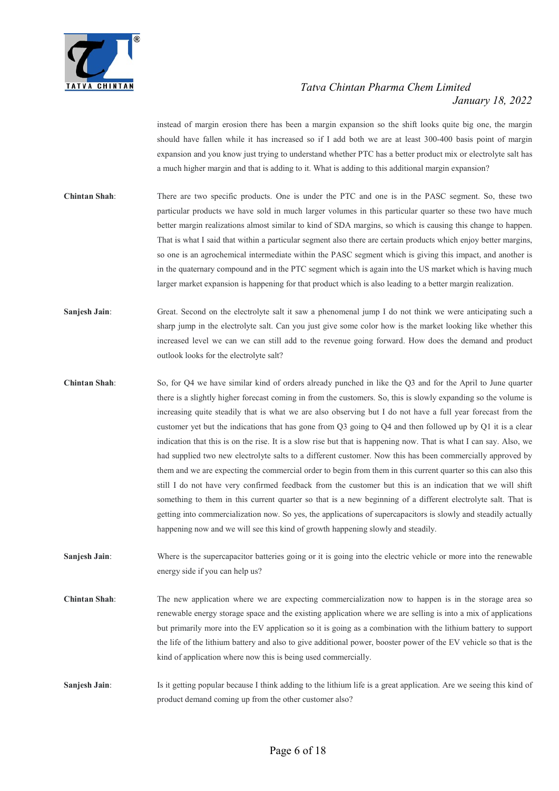

instead of margin erosion there has been a margin expansion so the shift looks quite big one, the margin should have fallen while it has increased so if I add both we are at least 300-400 basis point of margin expansion and you know just trying to understand whether PTC has a better product mix or electrolyte salt has a much higher margin and that is adding to it. What is adding to this additional margin expansion?

- Chintan Shah: There are two specific products. One is under the PTC and one is in the PASC segment. So, these two particular products we have sold in much larger volumes in this particular quarter so these two have much better margin realizations almost similar to kind of SDA margins, so which is causing this change to happen. That is what I said that within a particular segment also there are certain products which enjoy better margins, so one is an agrochemical intermediate within the PASC segment which is giving this impact, and another is in the quaternary compound and in the PTC segment which is again into the US market which is having much larger market expansion is happening for that product which is also leading to a better margin realization.
- Sanjesh Jain: Great. Second on the electrolyte salt it saw a phenomenal jump I do not think we were anticipating such a sharp jump in the electrolyte salt. Can you just give some color how is the market looking like whether this increased level we can we can still add to the revenue going forward. How does the demand and product outlook looks for the electrolyte salt?
- Chintan Shah: So, for Q4 we have similar kind of orders already punched in like the Q3 and for the April to June quarter there is a slightly higher forecast coming in from the customers. So, this is slowly expanding so the volume is increasing quite steadily that is what we are also observing but I do not have a full year forecast from the customer yet but the indications that has gone from Q3 going to Q4 and then followed up by Q1 it is a clear indication that this is on the rise. It is a slow rise but that is happening now. That is what I can say. Also, we had supplied two new electrolyte salts to a different customer. Now this has been commercially approved by them and we are expecting the commercial order to begin from them in this current quarter so this can also this still I do not have very confirmed feedback from the customer but this is an indication that we will shift something to them in this current quarter so that is a new beginning of a different electrolyte salt. That is getting into commercialization now. So yes, the applications of supercapacitors is slowly and steadily actually happening now and we will see this kind of growth happening slowly and steadily.
- Sanjesh Jain: Where is the supercapacitor batteries going or it is going into the electric vehicle or more into the renewable energy side if you can help us?
- Chintan Shah: The new application where we are expecting commercialization now to happen is in the storage area so renewable energy storage space and the existing application where we are selling is into a mix of applications but primarily more into the EV application so it is going as a combination with the lithium battery to support the life of the lithium battery and also to give additional power, booster power of the EV vehicle so that is the kind of application where now this is being used commercially.
- Saniesh Jain: Is it getting popular because I think adding to the lithium life is a great application. Are we seeing this kind of product demand coming up from the other customer also?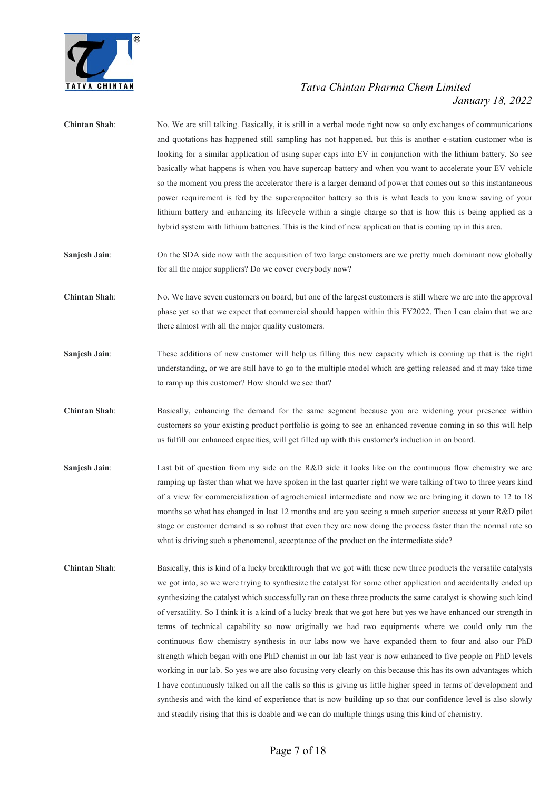

| <b>Chintan Shah:</b> | No. We are still talking. Basically, it is still in a verbal mode right now so only exchanges of communications<br>and quotations has happened still sampling has not happened, but this is another e-station customer who is<br>looking for a similar application of using super caps into EV in conjunction with the lithium battery. So see<br>basically what happens is when you have supercap battery and when you want to accelerate your EV vehicle<br>so the moment you press the accelerator there is a larger demand of power that comes out so this instantaneous<br>power requirement is fed by the supercapacitor battery so this is what leads to you know saving of your<br>lithium battery and enhancing its lifecycle within a single charge so that is how this is being applied as a<br>hybrid system with lithium batteries. This is the kind of new application that is coming up in this area.                                                                                                                                                                                                                                                                                                                                                 |
|----------------------|----------------------------------------------------------------------------------------------------------------------------------------------------------------------------------------------------------------------------------------------------------------------------------------------------------------------------------------------------------------------------------------------------------------------------------------------------------------------------------------------------------------------------------------------------------------------------------------------------------------------------------------------------------------------------------------------------------------------------------------------------------------------------------------------------------------------------------------------------------------------------------------------------------------------------------------------------------------------------------------------------------------------------------------------------------------------------------------------------------------------------------------------------------------------------------------------------------------------------------------------------------------------|
| Sanjesh Jain:        | On the SDA side now with the acquisition of two large customers are we pretty much dominant now globally<br>for all the major suppliers? Do we cover everybody now?                                                                                                                                                                                                                                                                                                                                                                                                                                                                                                                                                                                                                                                                                                                                                                                                                                                                                                                                                                                                                                                                                                  |
| <b>Chintan Shah:</b> | No. We have seven customers on board, but one of the largest customers is still where we are into the approval<br>phase yet so that we expect that commercial should happen within this FY2022. Then I can claim that we are<br>there almost with all the major quality customers.                                                                                                                                                                                                                                                                                                                                                                                                                                                                                                                                                                                                                                                                                                                                                                                                                                                                                                                                                                                   |
| Sanjesh Jain:        | These additions of new customer will help us filling this new capacity which is coming up that is the right<br>understanding, or we are still have to go to the multiple model which are getting released and it may take time<br>to ramp up this customer? How should we see that?                                                                                                                                                                                                                                                                                                                                                                                                                                                                                                                                                                                                                                                                                                                                                                                                                                                                                                                                                                                  |
| <b>Chintan Shah:</b> | Basically, enhancing the demand for the same segment because you are widening your presence within<br>customers so your existing product portfolio is going to see an enhanced revenue coming in so this will help<br>us fulfill our enhanced capacities, will get filled up with this customer's induction in on board.                                                                                                                                                                                                                                                                                                                                                                                                                                                                                                                                                                                                                                                                                                                                                                                                                                                                                                                                             |
| Sanjesh Jain:        | Last bit of question from my side on the R&D side it looks like on the continuous flow chemistry we are<br>ramping up faster than what we have spoken in the last quarter right we were talking of two to three years kind<br>of a view for commercialization of agrochemical intermediate and now we are bringing it down to 12 to 18<br>months so what has changed in last 12 months and are you seeing a much superior success at your R&D pilot<br>stage or customer demand is so robust that even they are now doing the process faster than the normal rate so<br>what is driving such a phenomenal, acceptance of the product on the intermediate side?                                                                                                                                                                                                                                                                                                                                                                                                                                                                                                                                                                                                       |
| <b>Chintan Shah:</b> | Basically, this is kind of a lucky breakthrough that we got with these new three products the versatile catalysts<br>we got into, so we were trying to synthesize the catalyst for some other application and accidentally ended up<br>synthesizing the catalyst which successfully ran on these three products the same catalyst is showing such kind<br>of versatility. So I think it is a kind of a lucky break that we got here but yes we have enhanced our strength in<br>terms of technical capability so now originally we had two equipments where we could only run the<br>continuous flow chemistry synthesis in our labs now we have expanded them to four and also our PhD<br>strength which began with one PhD chemist in our lab last year is now enhanced to five people on PhD levels<br>working in our lab. So yes we are also focusing very clearly on this because this has its own advantages which<br>I have continuously talked on all the calls so this is giving us little higher speed in terms of development and<br>synthesis and with the kind of experience that is now building up so that our confidence level is also slowly<br>and steadily rising that this is doable and we can do multiple things using this kind of chemistry. |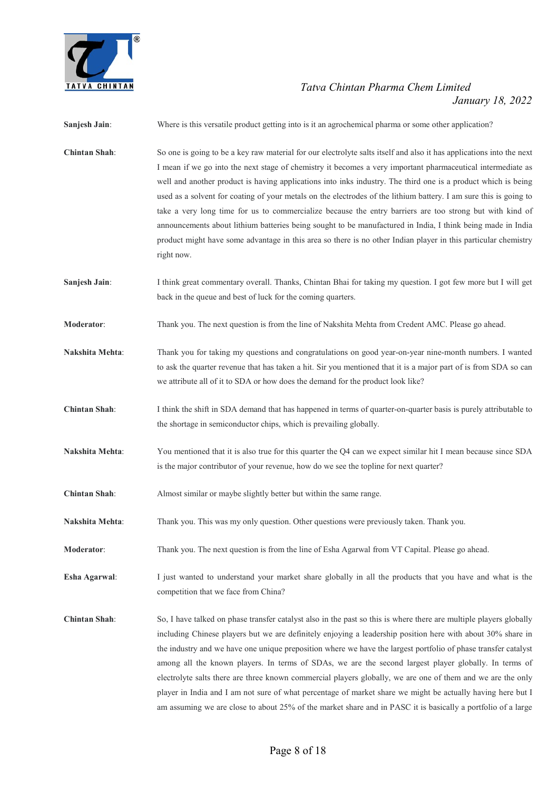

| Sanjesh Jain:          | Where is this versatile product getting into is it an agrochemical pharma or some other application?                                                                                                                                                                                                                                                                                                                                                                                                                                                                                                                                                                                                                                                                                                                                 |
|------------------------|--------------------------------------------------------------------------------------------------------------------------------------------------------------------------------------------------------------------------------------------------------------------------------------------------------------------------------------------------------------------------------------------------------------------------------------------------------------------------------------------------------------------------------------------------------------------------------------------------------------------------------------------------------------------------------------------------------------------------------------------------------------------------------------------------------------------------------------|
| <b>Chintan Shah:</b>   | So one is going to be a key raw material for our electrolyte salts itself and also it has applications into the next<br>I mean if we go into the next stage of chemistry it becomes a very important pharmaceutical intermediate as<br>well and another product is having applications into inks industry. The third one is a product which is being<br>used as a solvent for coating of your metals on the electrodes of the lithium battery. I am sure this is going to<br>take a very long time for us to commercialize because the entry barriers are too strong but with kind of<br>announcements about lithium batteries being sought to be manufactured in India, I think being made in India<br>product might have some advantage in this area so there is no other Indian player in this particular chemistry<br>right now. |
| Sanjesh Jain:          | I think great commentary overall. Thanks, Chintan Bhai for taking my question. I got few more but I will get<br>back in the queue and best of luck for the coming quarters.                                                                                                                                                                                                                                                                                                                                                                                                                                                                                                                                                                                                                                                          |
| <b>Moderator:</b>      | Thank you. The next question is from the line of Nakshita Mehta from Credent AMC. Please go ahead.                                                                                                                                                                                                                                                                                                                                                                                                                                                                                                                                                                                                                                                                                                                                   |
| Nakshita Mehta:        | Thank you for taking my questions and congratulations on good year-on-year nine-month numbers. I wanted<br>to ask the quarter revenue that has taken a hit. Sir you mentioned that it is a major part of is from SDA so can<br>we attribute all of it to SDA or how does the demand for the product look like?                                                                                                                                                                                                                                                                                                                                                                                                                                                                                                                       |
| <b>Chintan Shah:</b>   | I think the shift in SDA demand that has happened in terms of quarter-on-quarter basis is purely attributable to<br>the shortage in semiconductor chips, which is prevailing globally.                                                                                                                                                                                                                                                                                                                                                                                                                                                                                                                                                                                                                                               |
| Nakshita Mehta:        | You mentioned that it is also true for this quarter the Q4 can we expect similar hit I mean because since SDA<br>is the major contributor of your revenue, how do we see the topline for next quarter?                                                                                                                                                                                                                                                                                                                                                                                                                                                                                                                                                                                                                               |
| <b>Chintan Shah:</b>   | Almost similar or maybe slightly better but within the same range.                                                                                                                                                                                                                                                                                                                                                                                                                                                                                                                                                                                                                                                                                                                                                                   |
| <b>Nakshita Mehta:</b> | Thank you. This was my only question. Other questions were previously taken. Thank you.                                                                                                                                                                                                                                                                                                                                                                                                                                                                                                                                                                                                                                                                                                                                              |
| Moderator:             | Thank you. The next question is from the line of Esha Agarwal from VT Capital. Please go ahead.                                                                                                                                                                                                                                                                                                                                                                                                                                                                                                                                                                                                                                                                                                                                      |
| Esha Agarwal:          | I just wanted to understand your market share globally in all the products that you have and what is the<br>competition that we face from China?                                                                                                                                                                                                                                                                                                                                                                                                                                                                                                                                                                                                                                                                                     |
| <b>Chintan Shah:</b>   | So, I have talked on phase transfer catalyst also in the past so this is where there are multiple players globally<br>including Chinese players but we are definitely enjoying a leadership position here with about 30% share in<br>the industry and we have one unique preposition where we have the largest portfolio of phase transfer catalyst<br>among all the known players. In terms of SDAs, we are the second largest player globally. In terms of<br>electrolyte salts there are three known commercial players globally, we are one of them and we are the only<br>player in India and I am not sure of what percentage of market share we might be actually having here but I<br>am assuming we are close to about 25% of the market share and in PASC it is basically a portfolio of a large                           |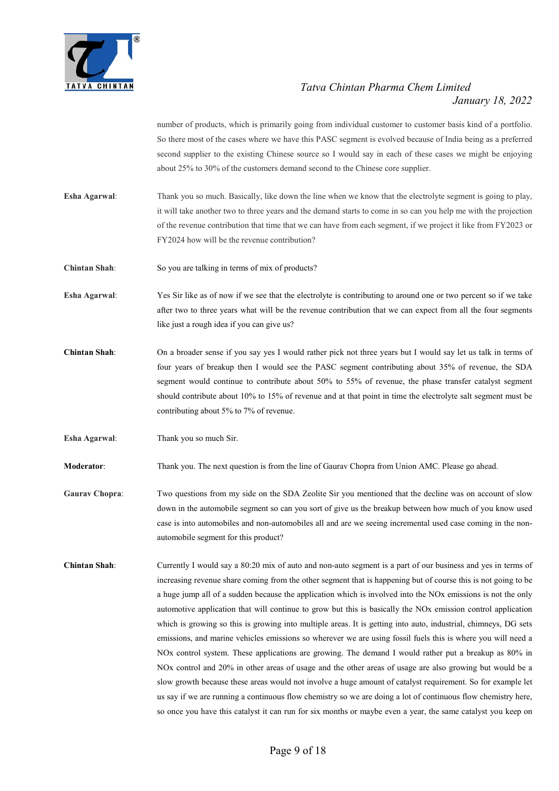

number of products, which is primarily going from individual customer to customer basis kind of a portfolio. So there most of the cases where we have this PASC segment is evolved because of India being as a preferred second supplier to the existing Chinese source so I would say in each of these cases we might be enjoying about 25% to 30% of the customers demand second to the Chinese core supplier.

- Esha Agarwal: Thank you so much. Basically, like down the line when we know that the electrolyte segment is going to play, it will take another two to three years and the demand starts to come in so can you help me with the projection of the revenue contribution that time that we can have from each segment, if we project it like from FY2023 or FY2024 how will be the revenue contribution?
- Chintan Shah: So you are talking in terms of mix of products?
- Esha Agarwal: Yes Sir like as of now if we see that the electrolyte is contributing to around one or two percent so if we take after two to three years what will be the revenue contribution that we can expect from all the four segments like just a rough idea if you can give us?
- Chintan Shah: On a broader sense if you say yes I would rather pick not three years but I would say let us talk in terms of four years of breakup then I would see the PASC segment contributing about 35% of revenue, the SDA segment would continue to contribute about 50% to 55% of revenue, the phase transfer catalyst segment should contribute about 10% to 15% of revenue and at that point in time the electrolyte salt segment must be contributing about 5% to 7% of revenue.
- Esha Agarwal: Thank you so much Sir.

Moderator: Thank you. The next question is from the line of Gaurav Chopra from Union AMC. Please go ahead.

- Gaurav Chopra: Two questions from my side on the SDA Zeolite Sir you mentioned that the decline was on account of slow down in the automobile segment so can you sort of give us the breakup between how much of you know used case is into automobiles and non-automobiles all and are we seeing incremental used case coming in the nonautomobile segment for this product?
- Chintan Shah: Currently I would say a 80:20 mix of auto and non-auto segment is a part of our business and yes in terms of increasing revenue share coming from the other segment that is happening but of course this is not going to be a huge jump all of a sudden because the application which is involved into the NOx emissions is not the only automotive application that will continue to grow but this is basically the NOx emission control application which is growing so this is growing into multiple areas. It is getting into auto, industrial, chimneys, DG sets emissions, and marine vehicles emissions so wherever we are using fossil fuels this is where you will need a NOx control system. These applications are growing. The demand I would rather put a breakup as 80% in NOx control and 20% in other areas of usage and the other areas of usage are also growing but would be a slow growth because these areas would not involve a huge amount of catalyst requirement. So for example let us say if we are running a continuous flow chemistry so we are doing a lot of continuous flow chemistry here, so once you have this catalyst it can run for six months or maybe even a year, the same catalyst you keep on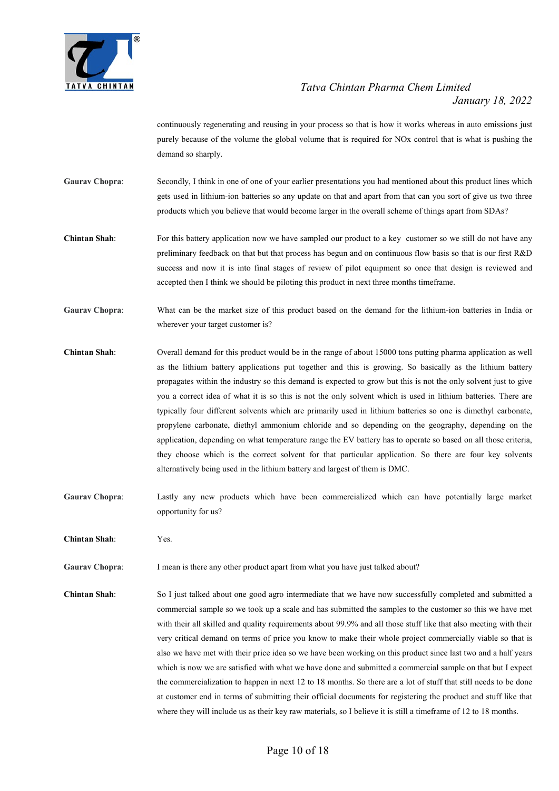

continuously regenerating and reusing in your process so that is how it works whereas in auto emissions just purely because of the volume the global volume that is required for NOx control that is what is pushing the demand so sharply.

- Gaurav Chopra: Secondly, I think in one of one of your earlier presentations you had mentioned about this product lines which gets used in lithium-ion batteries so any update on that and apart from that can you sort of give us two three products which you believe that would become larger in the overall scheme of things apart from SDAs?
- Chintan Shah: For this battery application now we have sampled our product to a key customer so we still do not have any preliminary feedback on that but that process has begun and on continuous flow basis so that is our first R&D success and now it is into final stages of review of pilot equipment so once that design is reviewed and accepted then I think we should be piloting this product in next three months timeframe.
- Gaurav Chopra: What can be the market size of this product based on the demand for the lithium-ion batteries in India or wherever your target customer is?
- Chintan Shah: Overall demand for this product would be in the range of about 15000 tons putting pharma application as well as the lithium battery applications put together and this is growing. So basically as the lithium battery propagates within the industry so this demand is expected to grow but this is not the only solvent just to give you a correct idea of what it is so this is not the only solvent which is used in lithium batteries. There are typically four different solvents which are primarily used in lithium batteries so one is dimethyl carbonate, propylene carbonate, diethyl ammonium chloride and so depending on the geography, depending on the application, depending on what temperature range the EV battery has to operate so based on all those criteria, they choose which is the correct solvent for that particular application. So there are four key solvents alternatively being used in the lithium battery and largest of them is DMC.
- Gaurav Chopra: Lastly any new products which have been commercialized which can have potentially large market opportunity for us?

Chintan Shah: Yes.

- Gaurav Chopra: I mean is there any other product apart from what you have just talked about?
- Chintan Shah: So I just talked about one good agro intermediate that we have now successfully completed and submitted a commercial sample so we took up a scale and has submitted the samples to the customer so this we have met with their all skilled and quality requirements about 99.9% and all those stuff like that also meeting with their very critical demand on terms of price you know to make their whole project commercially viable so that is also we have met with their price idea so we have been working on this product since last two and a half years which is now we are satisfied with what we have done and submitted a commercial sample on that but I expect the commercialization to happen in next 12 to 18 months. So there are a lot of stuff that still needs to be done at customer end in terms of submitting their official documents for registering the product and stuff like that where they will include us as their key raw materials, so I believe it is still a timeframe of 12 to 18 months.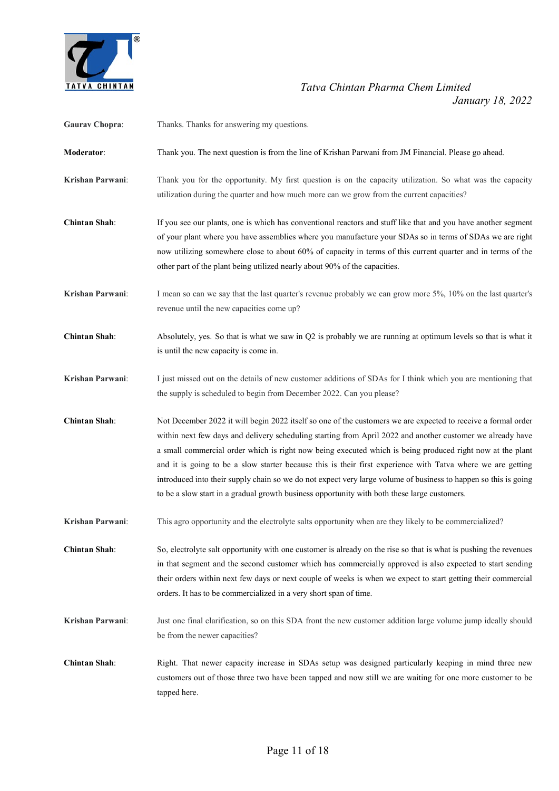

| <b>Gaurav Chopra:</b> | Thanks. Thanks for answering my questions.                                                                                                                                                                                                                                                                                                                                                                                                                                                                                                                                                                                                                                 |
|-----------------------|----------------------------------------------------------------------------------------------------------------------------------------------------------------------------------------------------------------------------------------------------------------------------------------------------------------------------------------------------------------------------------------------------------------------------------------------------------------------------------------------------------------------------------------------------------------------------------------------------------------------------------------------------------------------------|
| Moderator:            | Thank you. The next question is from the line of Krishan Parwani from JM Financial. Please go ahead.                                                                                                                                                                                                                                                                                                                                                                                                                                                                                                                                                                       |
| Krishan Parwani:      | Thank you for the opportunity. My first question is on the capacity utilization. So what was the capacity<br>utilization during the quarter and how much more can we grow from the current capacities?                                                                                                                                                                                                                                                                                                                                                                                                                                                                     |
| <b>Chintan Shah:</b>  | If you see our plants, one is which has conventional reactors and stuff like that and you have another segment<br>of your plant where you have assemblies where you manufacture your SDAs so in terms of SDAs we are right<br>now utilizing somewhere close to about 60% of capacity in terms of this current quarter and in terms of the<br>other part of the plant being utilized nearly about 90% of the capacities.                                                                                                                                                                                                                                                    |
| Krishan Parwani:      | I mean so can we say that the last quarter's revenue probably we can grow more 5%, 10% on the last quarter's<br>revenue until the new capacities come up?                                                                                                                                                                                                                                                                                                                                                                                                                                                                                                                  |
| <b>Chintan Shah:</b>  | Absolutely, yes. So that is what we saw in Q2 is probably we are running at optimum levels so that is what it<br>is until the new capacity is come in.                                                                                                                                                                                                                                                                                                                                                                                                                                                                                                                     |
| Krishan Parwani:      | I just missed out on the details of new customer additions of SDAs for I think which you are mentioning that<br>the supply is scheduled to begin from December 2022. Can you please?                                                                                                                                                                                                                                                                                                                                                                                                                                                                                       |
| <b>Chintan Shah:</b>  | Not December 2022 it will begin 2022 itself so one of the customers we are expected to receive a formal order<br>within next few days and delivery scheduling starting from April 2022 and another customer we already have<br>a small commercial order which is right now being executed which is being produced right now at the plant<br>and it is going to be a slow starter because this is their first experience with Tatva where we are getting<br>introduced into their supply chain so we do not expect very large volume of business to happen so this is going<br>to be a slow start in a gradual growth business opportunity with both these large customers. |
| Krishan Parwani:      | This agro opportunity and the electrolyte salts opportunity when are they likely to be commercialized?                                                                                                                                                                                                                                                                                                                                                                                                                                                                                                                                                                     |
| <b>Chintan Shah:</b>  | So, electrolyte salt opportunity with one customer is already on the rise so that is what is pushing the revenues<br>in that segment and the second customer which has commercially approved is also expected to start sending<br>their orders within next few days or next couple of weeks is when we expect to start getting their commercial<br>orders. It has to be commercialized in a very short span of time.                                                                                                                                                                                                                                                       |
| Krishan Parwani:      | Just one final clarification, so on this SDA front the new customer addition large volume jump ideally should<br>be from the newer capacities?                                                                                                                                                                                                                                                                                                                                                                                                                                                                                                                             |
| <b>Chintan Shah:</b>  | Right. That newer capacity increase in SDAs setup was designed particularly keeping in mind three new<br>customers out of those three two have been tapped and now still we are waiting for one more customer to be<br>tapped here.                                                                                                                                                                                                                                                                                                                                                                                                                                        |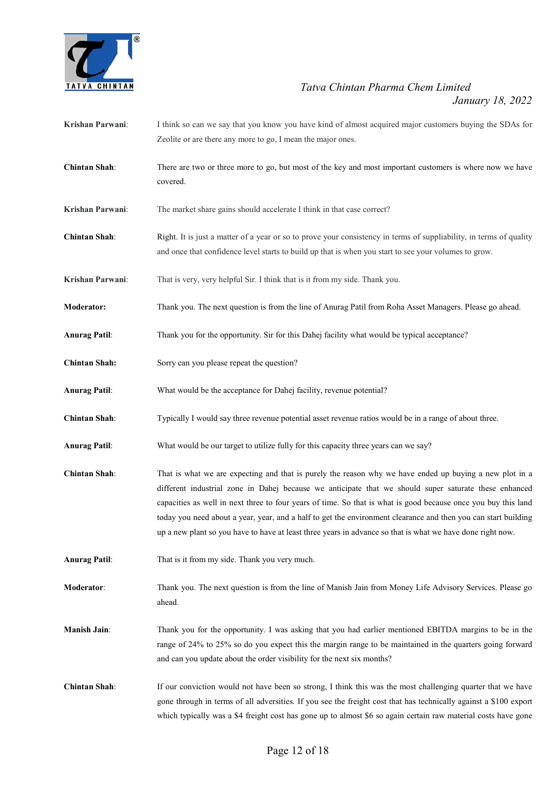

- Krishan Parwani: I think so can we say that you know you have kind of almost acquired major customers buying the SDAs for Zeolite or are there any more to go, I mean the major ones.
- Chintan Shah: There are two or three more to go, but most of the key and most important customers is where now we have covered.
- Krishan Parwani: The market share gains should accelerate I think in that case correct?
- Chintan Shah: Right. It is just a matter of a year or so to prove your consistency in terms of suppliability, in terms of quality and once that confidence level starts to build up that is when you start to see your volumes to grow.
- Krishan Parwani: That is very, very helpful Sir. I think that is it from my side. Thank you.
- Moderator: Thank you. The next question is from the line of Anurag Patil from Roha Asset Managers. Please go ahead.
- Anurag Patil: Thank you for the opportunity. Sir for this Dahej facility what would be typical acceptance?
- Chintan Shah: Sorry can you please repeat the question?
- Anurag Patil: What would be the acceptance for Dahej facility, revenue potential?
- Chintan Shah: Typically I would say three revenue potential asset revenue ratios would be in a range of about three.
- Anurag Patil: What would be our target to utilize fully for this capacity three years can we say?
- Chintan Shah: That is what we are expecting and that is purely the reason why we have ended up buying a new plot in a different industrial zone in Dahej because we anticipate that we should super saturate these enhanced capacities as well in next three to four years of time. So that is what is good because once you buy this land today you need about a year, year, and a half to get the environment clearance and then you can start building up a new plant so you have to have at least three years in advance so that is what we have done right now.
- Anurag Patil: That is it from my side. Thank you very much.
- Moderator: Thank you. The next question is from the line of Manish Jain from Money Life Advisory Services. Please go ahead.
- Manish Jain: Thank you for the opportunity. I was asking that you had earlier mentioned EBITDA margins to be in the range of 24% to 25% so do you expect this the margin range to be maintained in the quarters going forward and can you update about the order visibility for the next six months?
- Chintan Shah: If our conviction would not have been so strong, I think this was the most challenging quarter that we have gone through in terms of all adversities. If you see the freight cost that has technically against a \$100 export which typically was a \$4 freight cost has gone up to almost \$6 so again certain raw material costs have gone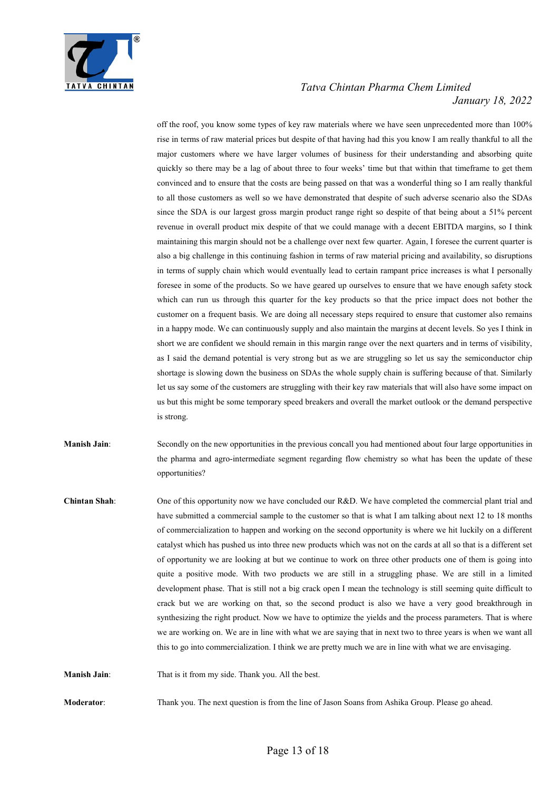

off the roof, you know some types of key raw materials where we have seen unprecedented more than 100% rise in terms of raw material prices but despite of that having had this you know I am really thankful to all the major customers where we have larger volumes of business for their understanding and absorbing quite quickly so there may be a lag of about three to four weeks' time but that within that timeframe to get them convinced and to ensure that the costs are being passed on that was a wonderful thing so I am really thankful to all those customers as well so we have demonstrated that despite of such adverse scenario also the SDAs since the SDA is our largest gross margin product range right so despite of that being about a 51% percent revenue in overall product mix despite of that we could manage with a decent EBITDA margins, so I think maintaining this margin should not be a challenge over next few quarter. Again, I foresee the current quarter is also a big challenge in this continuing fashion in terms of raw material pricing and availability, so disruptions in terms of supply chain which would eventually lead to certain rampant price increases is what I personally foresee in some of the products. So we have geared up ourselves to ensure that we have enough safety stock which can run us through this quarter for the key products so that the price impact does not bother the customer on a frequent basis. We are doing all necessary steps required to ensure that customer also remains in a happy mode. We can continuously supply and also maintain the margins at decent levels. So yes I think in short we are confident we should remain in this margin range over the next quarters and in terms of visibility, as I said the demand potential is very strong but as we are struggling so let us say the semiconductor chip shortage is slowing down the business on SDAs the whole supply chain is suffering because of that. Similarly let us say some of the customers are struggling with their key raw materials that will also have some impact on us but this might be some temporary speed breakers and overall the market outlook or the demand perspective is strong.

Manish Jain: Secondly on the new opportunities in the previous concall you had mentioned about four large opportunities in the pharma and agro-intermediate segment regarding flow chemistry so what has been the update of these opportunities?

Chintan Shah: One of this opportunity now we have concluded our R&D. We have completed the commercial plant trial and have submitted a commercial sample to the customer so that is what I am talking about next 12 to 18 months of commercialization to happen and working on the second opportunity is where we hit luckily on a different catalyst which has pushed us into three new products which was not on the cards at all so that is a different set of opportunity we are looking at but we continue to work on three other products one of them is going into quite a positive mode. With two products we are still in a struggling phase. We are still in a limited development phase. That is still not a big crack open I mean the technology is still seeming quite difficult to crack but we are working on that, so the second product is also we have a very good breakthrough in synthesizing the right product. Now we have to optimize the yields and the process parameters. That is where we are working on. We are in line with what we are saying that in next two to three years is when we want all this to go into commercialization. I think we are pretty much we are in line with what we are envisaging.

Manish Jain: That is it from my side. Thank you. All the best.

Moderator: Thank you. The next question is from the line of Jason Soans from Ashika Group. Please go ahead.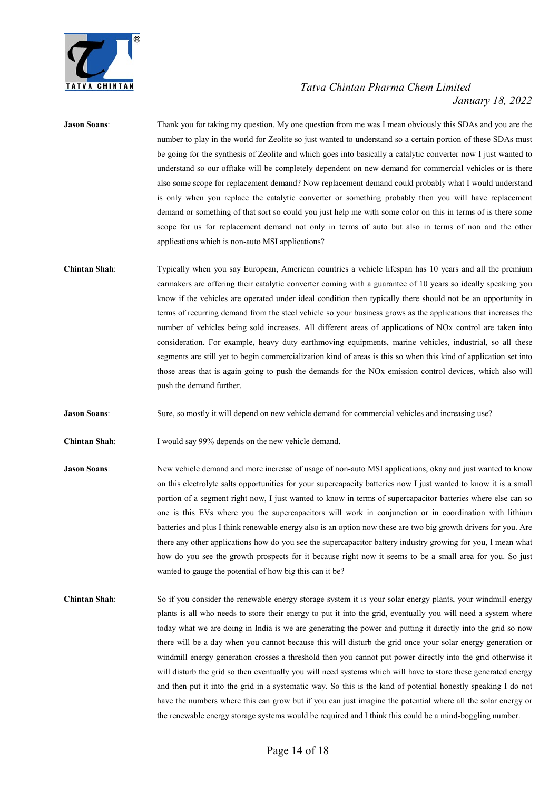

## Jason Soans: Thank you for taking my question. My one question from me was I mean obviously this SDAs and you are the number to play in the world for Zeolite so just wanted to understand so a certain portion of these SDAs must be going for the synthesis of Zeolite and which goes into basically a catalytic converter now I just wanted to understand so our offtake will be completely dependent on new demand for commercial vehicles or is there also some scope for replacement demand? Now replacement demand could probably what I would understand is only when you replace the catalytic converter or something probably then you will have replacement demand or something of that sort so could you just help me with some color on this in terms of is there some scope for us for replacement demand not only in terms of auto but also in terms of non and the other applications which is non-auto MSI applications? Chintan Shah: Typically when you say European, American countries a vehicle lifespan has 10 years and all the premium carmakers are offering their catalytic converter coming with a guarantee of 10 years so ideally speaking you know if the vehicles are operated under ideal condition then typically there should not be an opportunity in terms of recurring demand from the steel vehicle so your business grows as the applications that increases the number of vehicles being sold increases. All different areas of applications of NOx control are taken into consideration. For example, heavy duty earthmoving equipments, marine vehicles, industrial, so all these segments are still yet to begin commercialization kind of areas is this so when this kind of application set into those areas that is again going to push the demands for the NOx emission control devices, which also will push the demand further.

Jason Soans: Sure, so mostly it will depend on new vehicle demand for commercial vehicles and increasing use?

Chintan Shah: I would say 99% depends on the new vehicle demand.

- Jason Soans: New vehicle demand and more increase of usage of non-auto MSI applications, okay and just wanted to know on this electrolyte salts opportunities for your supercapacity batteries now I just wanted to know it is a small portion of a segment right now, I just wanted to know in terms of supercapacitor batteries where else can so one is this EVs where you the supercapacitors will work in conjunction or in coordination with lithium batteries and plus I think renewable energy also is an option now these are two big growth drivers for you. Are there any other applications how do you see the supercapacitor battery industry growing for you, I mean what how do you see the growth prospects for it because right now it seems to be a small area for you. So just wanted to gauge the potential of how big this can it be?
- Chintan Shah: So if you consider the renewable energy storage system it is your solar energy plants, your windmill energy plants is all who needs to store their energy to put it into the grid, eventually you will need a system where today what we are doing in India is we are generating the power and putting it directly into the grid so now there will be a day when you cannot because this will disturb the grid once your solar energy generation or windmill energy generation crosses a threshold then you cannot put power directly into the grid otherwise it will disturb the grid so then eventually you will need systems which will have to store these generated energy and then put it into the grid in a systematic way. So this is the kind of potential honestly speaking I do not have the numbers where this can grow but if you can just imagine the potential where all the solar energy or the renewable energy storage systems would be required and I think this could be a mind-boggling number.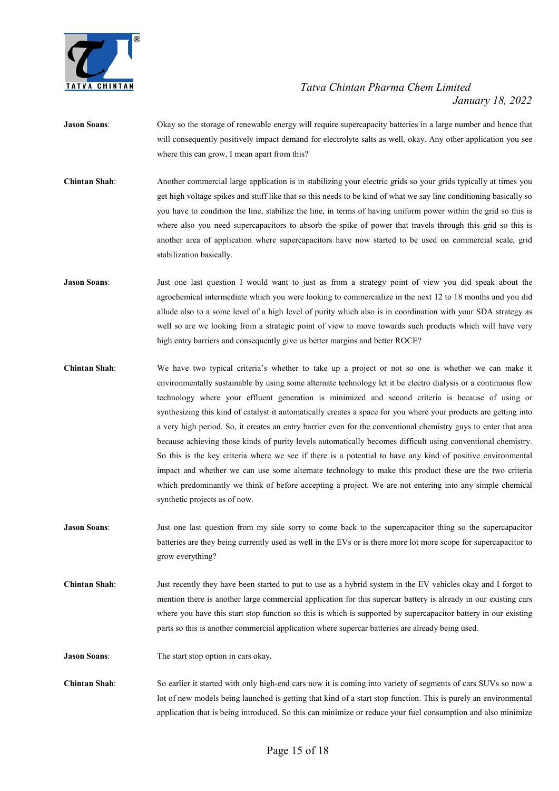

- Jason Soans: Okay so the storage of renewable energy will require supercapacity batteries in a large number and hence that will consequently positively impact demand for electrolyte salts as well, okay. Any other application you see where this can grow, I mean apart from this?
- Chintan Shah: Another commercial large application is in stabilizing your electric grids so your grids typically at times you get high voltage spikes and stuff like that so this needs to be kind of what we say line conditioning basically so you have to condition the line, stabilize the line, in terms of having uniform power within the grid so this is where also you need supercapacitors to absorb the spike of power that travels through this grid so this is another area of application where supercapacitors have now started to be used on commercial scale, grid stabilization basically.
- Jason Soans: Just one last question I would want to just as from a strategy point of view you did speak about the agrochemical intermediate which you were looking to commercialize in the next 12 to 18 months and you did allude also to a some level of a high level of purity which also is in coordination with your SDA strategy as well so are we looking from a strategic point of view to move towards such products which will have very high entry barriers and consequently give us better margins and better ROCE?
- Chintan Shah: We have two typical criteria's whether to take up a project or not so one is whether we can make it environmentally sustainable by using some alternate technology let it be electro dialysis or a continuous flow technology where your effluent generation is minimized and second criteria is because of using or synthesizing this kind of catalyst it automatically creates a space for you where your products are getting into a very high period. So, it creates an entry barrier even for the conventional chemistry guys to enter that area because achieving those kinds of purity levels automatically becomes difficult using conventional chemistry. So this is the key criteria where we see if there is a potential to have any kind of positive environmental impact and whether we can use some alternate technology to make this product these are the two criteria which predominantly we think of before accepting a project. We are not entering into any simple chemical synthetic projects as of now.
- Jason Soans: Just one last question from my side sorry to come back to the supercapacitor thing so the supercapacitor batteries are they being currently used as well in the EVs or is there more lot more scope for supercapacitor to grow everything?
- Chintan Shah: Just recently they have been started to put to use as a hybrid system in the EV vehicles okay and I forgot to mention there is another large commercial application for this supercar battery is already in our existing cars where you have this start stop function so this is which is supported by supercapacitor battery in our existing parts so this is another commercial application where supercar batteries are already being used.

Jason Soans: The start stop option in cars okay.

Chintan Shah: So earlier it started with only high-end cars now it is coming into variety of segments of cars SUVs so now a lot of new models being launched is getting that kind of a start stop function. This is purely an environmental application that is being introduced. So this can minimize or reduce your fuel consumption and also minimize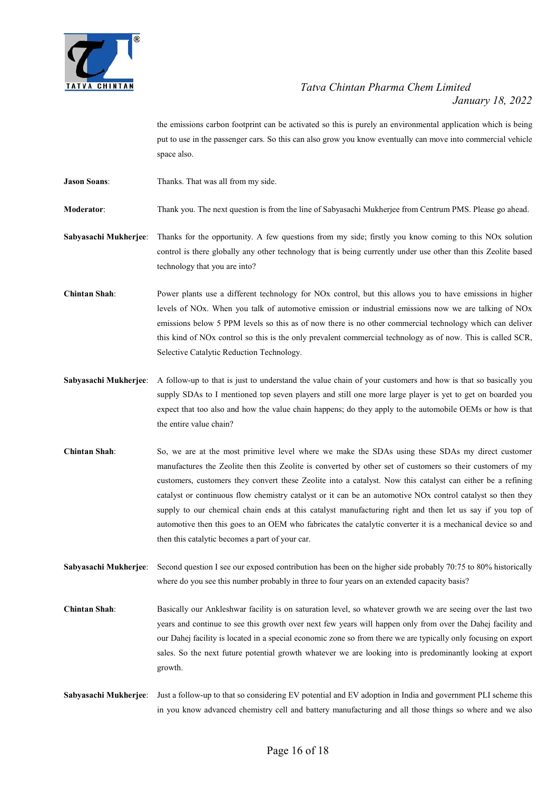

the emissions carbon footprint can be activated so this is purely an environmental application which is being put to use in the passenger cars. So this can also grow you know eventually can move into commercial vehicle space also.

Jason Soans: Thanks. That was all from my side.

Moderator: Thank you. The next question is from the line of Sabyasachi Mukherjee from Centrum PMS. Please go ahead.

Sabyasachi Mukherjee: Thanks for the opportunity. A few questions from my side; firstly you know coming to this NOx solution control is there globally any other technology that is being currently under use other than this Zeolite based technology that you are into?

Chintan Shah: Power plants use a different technology for NOx control, but this allows you to have emissions in higher levels of NOx. When you talk of automotive emission or industrial emissions now we are talking of NOx emissions below 5 PPM levels so this as of now there is no other commercial technology which can deliver this kind of NOx control so this is the only prevalent commercial technology as of now. This is called SCR, Selective Catalytic Reduction Technology.

- Sabyasachi Mukherjee: A follow-up to that is just to understand the value chain of your customers and how is that so basically you supply SDAs to I mentioned top seven players and still one more large player is yet to get on boarded you expect that too also and how the value chain happens; do they apply to the automobile OEMs or how is that the entire value chain?
- Chintan Shah: So, we are at the most primitive level where we make the SDAs using these SDAs my direct customer manufactures the Zeolite then this Zeolite is converted by other set of customers so their customers of my customers, customers they convert these Zeolite into a catalyst. Now this catalyst can either be a refining catalyst or continuous flow chemistry catalyst or it can be an automotive NOx control catalyst so then they supply to our chemical chain ends at this catalyst manufacturing right and then let us say if you top of automotive then this goes to an OEM who fabricates the catalytic converter it is a mechanical device so and then this catalytic becomes a part of your car.

Sabyasachi Mukherjee: Second question I see our exposed contribution has been on the higher side probably 70:75 to 80% historically where do you see this number probably in three to four years on an extended capacity basis?

Chintan Shah: Basically our Ankleshwar facility is on saturation level, so whatever growth we are seeing over the last two years and continue to see this growth over next few years will happen only from over the Dahej facility and our Dahej facility is located in a special economic zone so from there we are typically only focusing on export sales. So the next future potential growth whatever we are looking into is predominantly looking at export growth.

Sabyasachi Mukherjee: Just a follow-up to that so considering EV potential and EV adoption in India and government PLI scheme this in you know advanced chemistry cell and battery manufacturing and all those things so where and we also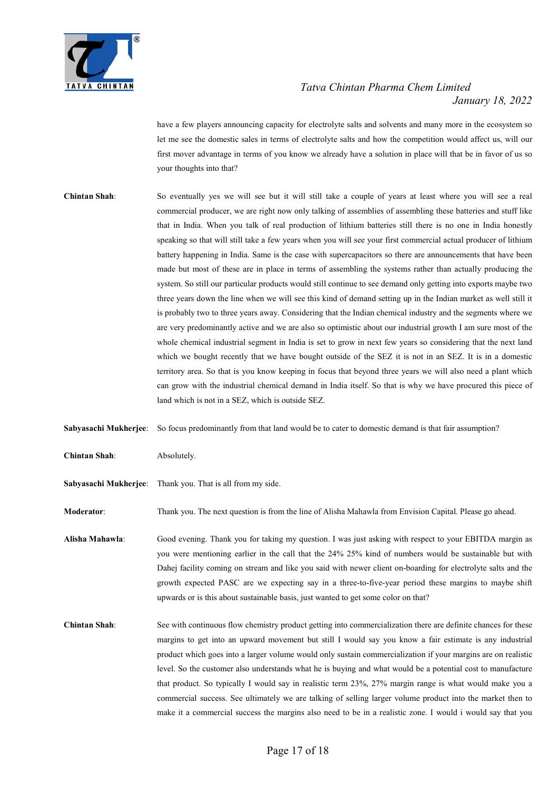

have a few players announcing capacity for electrolyte salts and solvents and many more in the ecosystem so let me see the domestic sales in terms of electrolyte salts and how the competition would affect us, will our first mover advantage in terms of you know we already have a solution in place will that be in favor of us so your thoughts into that?

Chintan Shah: So eventually yes we will see but it will still take a couple of years at least where you will see a real commercial producer, we are right now only talking of assemblies of assembling these batteries and stuff like that in India. When you talk of real production of lithium batteries still there is no one in India honestly speaking so that will still take a few years when you will see your first commercial actual producer of lithium battery happening in India. Same is the case with supercapacitors so there are announcements that have been made but most of these are in place in terms of assembling the systems rather than actually producing the system. So still our particular products would still continue to see demand only getting into exports maybe two three years down the line when we will see this kind of demand setting up in the Indian market as well still it is probably two to three years away. Considering that the Indian chemical industry and the segments where we are very predominantly active and we are also so optimistic about our industrial growth I am sure most of the whole chemical industrial segment in India is set to grow in next few years so considering that the next land which we bought recently that we have bought outside of the SEZ it is not in an SEZ. It is in a domestic territory area. So that is you know keeping in focus that beyond three years we will also need a plant which can grow with the industrial chemical demand in India itself. So that is why we have procured this piece of land which is not in a SEZ, which is outside SEZ.

Sabyasachi Mukherjee: So focus predominantly from that land would be to cater to domestic demand is that fair assumption?

- Chintan Shah: Absolutely.
- Sabyasachi Mukherjee: Thank you. That is all from my side.

Moderator: Thank you. The next question is from the line of Alisha Mahawla from Envision Capital. Please go ahead.

Alisha Mahawla: Good evening. Thank you for taking my question. I was just asking with respect to your EBITDA margin as you were mentioning earlier in the call that the 24% 25% kind of numbers would be sustainable but with Dahej facility coming on stream and like you said with newer client on-boarding for electrolyte salts and the growth expected PASC are we expecting say in a three-to-five-year period these margins to maybe shift upwards or is this about sustainable basis, just wanted to get some color on that?

Chintan Shah: See with continuous flow chemistry product getting into commercialization there are definite chances for these margins to get into an upward movement but still I would say you know a fair estimate is any industrial product which goes into a larger volume would only sustain commercialization if your margins are on realistic level. So the customer also understands what he is buying and what would be a potential cost to manufacture that product. So typically I would say in realistic term 23%, 27% margin range is what would make you a commercial success. See ultimately we are talking of selling larger volume product into the market then to make it a commercial success the margins also need to be in a realistic zone. I would i would say that you